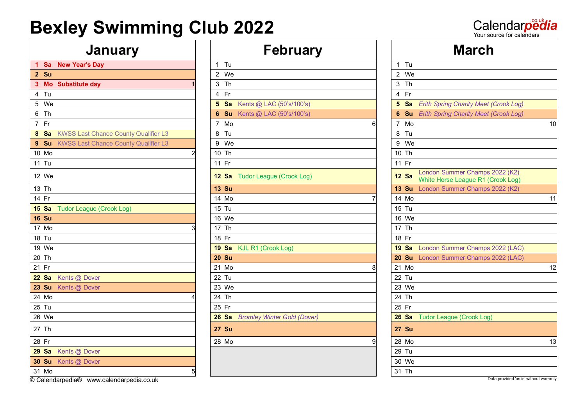Calendarpedia

### **January**  $\vert \vert$  **February**

|              | 1 Sa New Year's Day                       |                 | $1$ Tu                                 | $1$ Tu                                                                              |
|--------------|-------------------------------------------|-----------------|----------------------------------------|-------------------------------------------------------------------------------------|
| 2 Su         |                                           |                 | 2 We                                   | 2 We                                                                                |
|              | 3 Mo Substitute day                       |                 | 3 Th                                   | 3 Th                                                                                |
| 4 Tu         |                                           |                 | 4 Fr                                   | 4 Fr                                                                                |
| 5 We         |                                           |                 | <b>5 Sa</b> Kents @ LAC (50's/100's)   | 5 Sa Erith Spring Charity Meet (Crook Log)                                          |
| 6 Th         |                                           |                 | <b>6 Su</b> Kents @ LAC $(50's/100's)$ | 6 Su Erith Spring Charity Meet (Crook Log)                                          |
| 7 Fr         |                                           |                 | 7 Mo                                   | 7 Mo                                                                                |
|              | 8 Sa KWSS Last Chance County Qualifier L3 |                 | 8 Tu                                   | 8 Tu                                                                                |
|              | 9 Su KWSS Last Chance County Qualifier L3 |                 | 9 We                                   | 9 We                                                                                |
| 10 Mo        |                                           | $\overline{2}$  | 10 Th                                  | 10 Th                                                                               |
| 11 Tu        |                                           |                 | 11 Fr                                  | 11 Fr                                                                               |
| 12 We        |                                           |                 | 12 Sa Tudor League (Crook Log)         | London Summer Champs 2022 (K2)<br><b>12 Sa</b><br>White Horse League R1 (Crook Log) |
| 13 Th        |                                           |                 | <b>13 Su</b>                           | 13 Su London Summer Champs 2022 (K2)                                                |
| 14 Fr        |                                           |                 | 14 Mo                                  | 14 Mo                                                                               |
| <b>15 Sa</b> | Tudor League (Crook Log)                  |                 | 15 Tu                                  | 15 Tu                                                                               |
| <b>16 Su</b> |                                           |                 | 16 We                                  | 16 We                                                                               |
| 17 Mo        |                                           | 3               | 17 Th                                  | 17 Th                                                                               |
| 18 Tu        |                                           |                 | 18 Fr                                  | 18 Fr                                                                               |
| 19 We        |                                           |                 | 19 Sa KJL R1 (Crook Log)               | 19 Sa London Summer Champs 2022 (LAC)                                               |
| 20 Th        |                                           |                 | <b>20 Su</b>                           | 20 Su London Summer Champs 2022 (LAC)                                               |
| 21 Fr        |                                           |                 | 21 Mo                                  | 21 Mo                                                                               |
| <b>22 Sa</b> | Kents @ Dover                             |                 | 22 Tu                                  | 22 Tu                                                                               |
|              | 23 Su Kents @ Dover                       |                 | 23 We                                  | 23 We                                                                               |
| 24 Mo        |                                           |                 | 24 Th                                  | 24 Th                                                                               |
| 25 Tu        |                                           |                 | 25 Fr                                  | 25 Fr                                                                               |
| 26 We        |                                           |                 | 26 Sa Bromley Winter Gold (Dover)      | 26 Sa Tudor League (Crook Log)                                                      |
| 27 Th        |                                           |                 | <b>27 Su</b>                           | <b>27 Su</b>                                                                        |
| 28 Fr        |                                           |                 | 28 Mo                                  | 28 Mo                                                                               |
|              | 29 Sa Kents @ Dover                       |                 |                                        | 29 Tu                                                                               |
|              | 30 Su Kents @ Dover                       |                 |                                        | 30 We                                                                               |
| 31 Mo        |                                           | $5\overline{)}$ |                                        | 31 Th                                                                               |
|              |                                           |                 |                                        |                                                                                     |

|                |              | Ш<br>GMI UQI Y                     |
|----------------|--------------|------------------------------------|
| $\mathbf{1}$   | Tu           |                                    |
| $\overline{c}$ | We           |                                    |
| 3              | Th           |                                    |
| 4              | Fr           |                                    |
| 5              | Sa           | Kents @ LAC (50's/100's)           |
| $6\phantom{a}$ | Su           | Kents @ LAC (50's/100's)           |
| 7              | Mo           |                                    |
| 8              | Tu           |                                    |
|                | 9 We         |                                    |
|                | 10 Th        |                                    |
| 11             | Fr           |                                    |
|                |              | 12 Sa Tudor League (Crook Log)     |
|                | <b>13 Su</b> |                                    |
|                | 14 Mo        |                                    |
|                | 15 Tu        |                                    |
|                | 16 We        |                                    |
|                | 17 Th        |                                    |
| 18 Fr          |              |                                    |
|                | <b>19 Sa</b> | KJL R1 (Crook Log)                 |
|                | <b>20 Su</b> |                                    |
|                | 21 Mo        |                                    |
|                | 22 Tu        |                                    |
|                | 23 We        |                                    |
|                | 24 Th        |                                    |
| 25 Fr          |              |                                    |
|                | $26$ Sa      | <b>Bromley Winter Gold (Dover)</b> |
|                | <b>27 Su</b> |                                    |
|                | 28 Mo        |                                    |
|                |              |                                    |

| <b>January</b>                                        | <b>February</b>                      | <b>March</b>                                                                        |
|-------------------------------------------------------|--------------------------------------|-------------------------------------------------------------------------------------|
| 1 Sa New Year's Day                                   | $1$ Tu                               | $1$ Tu                                                                              |
| 2 Su                                                  | 2 We                                 | 2 We                                                                                |
| 3 Mo Substitute day                                   | 3 Th                                 | 3 Th                                                                                |
| 4 Tu                                                  | 4 Fr                                 | 4 Fr                                                                                |
| 5 We                                                  | <b>5 Sa</b> Kents @ LAC (50's/100's) | 5 Sa Erith Spring Charity Meet (Crook Log)                                          |
| 6 Th                                                  | <b>6 Su</b> Kents @ LAC (50's/100's) | 6 Su Erith Spring Charity Meet (Crook Log)                                          |
| 7 Fr                                                  | 7 Mo                                 | 7 Mo<br>10                                                                          |
| $8$ Sa<br><b>KWSS Last Chance County Qualifier L3</b> | 8 Tu                                 | 8 Tu                                                                                |
| 9 Su KWSS Last Chance County Qualifier L3             | 9 We                                 | 9 We                                                                                |
| 10 Mo                                                 | 10 Th                                | 10 Th                                                                               |
| 11 Tu                                                 | 11 Fr                                | 11 Fr                                                                               |
| 12 We                                                 | 12 Sa Tudor League (Crook Log)       | London Summer Champs 2022 (K2)<br><b>12 Sa</b><br>White Horse League R1 (Crook Log) |
| 13 Th                                                 | <b>13 Su</b>                         | 13 Su London Summer Champs 2022 (K2)                                                |
| 14 Fr                                                 | 14 Mo                                | 14 Mo<br>11                                                                         |
| 15 <sub>sa</sub><br>Tudor League (Crook Log)          | 15 Tu                                | 15 Tu                                                                               |
| <b>16 Su</b>                                          | 16 We                                | 16 We                                                                               |
| 17 Mo                                                 | 17 Th                                | 17 Th                                                                               |
| 18 Tu                                                 | 18 Fr                                | 18 Fr                                                                               |
| 19 We                                                 | 19 Sa KJL R1 (Crook Log)             | 19 Sa London Summer Champs 2022 (LAC)                                               |
| 20 Th                                                 | <b>20 Su</b>                         | 20 Su London Summer Champs 2022 (LAC)                                               |
| 21 Fr                                                 | 21 Mo                                | 21 Mo<br>12                                                                         |
| 22 Sa<br>Kents @ Dover                                | 22 Tu                                | 22 Tu                                                                               |
| 23 Su Kents @ Dover                                   | 23 We                                | 23 We                                                                               |
| 24 Mo                                                 | 24 Th                                | 24 Th                                                                               |
| 25 Tu                                                 | 25 Fr                                | 25 Fr                                                                               |
| 26 We                                                 | 26 Sa Bromley Winter Gold (Dover)    | 26 Sa Tudor League (Crook Log)                                                      |
| 27 Th                                                 | <b>27 Su</b>                         | <b>27 Su</b>                                                                        |
| 28 Fr                                                 | 28 Mo                                | 28 Mo<br>13                                                                         |
| 29 Sa Kents @ Dover                                   |                                      | 29 Tu                                                                               |
| 30 Su Kents @ Dover                                   |                                      | 30 We                                                                               |
| 31 Mo<br>5                                            |                                      | 31 Th                                                                               |

**Calendarpedia®** www.calendarpedia.co.uk Data provided 'as is' without warranty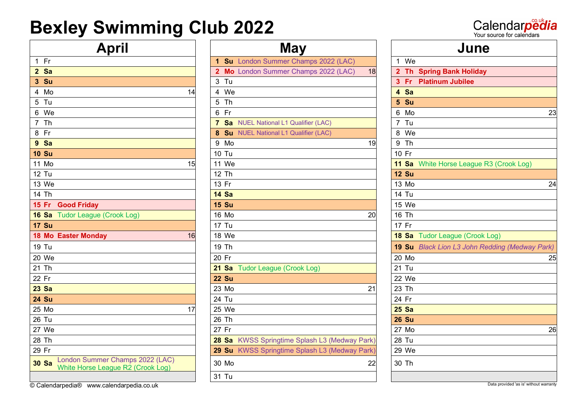Fr **1 Su** London Summer Champs 2022 (LAC) 1 We **Sa 2 Mo** London Summer Champs 2022 (LAC) 18 **2 Th Spring Bank Holiday Su** 3 Tu **3 Fr Platinum Jubilee** Mo 14 4 We **4 Sa** Tu 5 Th **5 Su** Th **7 Sa** NUEL National L1 Qualifier (LAC) 7 Tu 8 Fr <mark>8 Su</mark> NUEL National L1 Qualifier (LAC) 8 We **Sa** 9 Mo 19 9 Th **Su** 10 Tu 10 Fr Mo 15 11 We **11 Sa** White Horse League R3 (Crook Log) Tu 12 Th **12 Su** 13 We | | 13 Fr | | 13 Mo 24 Th **14 Sa** 14 Tu **Fr Good Friday 15 Su** 15 We **16 Sa** Tudor League (Crook Log) **16 Mo** 20 16 Th **Su** 17 Tu 17 Fr 18 Mo Easter Monday 16 18 We **18** Mo Easter Monday 16 18 We **18** Sa Tudor League (Crook Log) Tu 19 Th **19 Su** *Black Lion L3 John Redding (Medway Park)* 20 We | | 20 Fr | | 20 Mo 25 Th **21 Sa** Tudor League (Crook Log) 21 Tu Fr **22 Su** 22 We **Sa** 23 Mo 21 23 Th **Su** 24 Tu 24 Fr Mo 17 25 We **25 Sa** Tu 26 Th **26 Su** We 27 Fr 27 Mo 26 Th **28 Sa** KWSS Springtime Splash L3 (Medway Park) 28 Tu Fr **29 Su** KWSS Springtime Splash L3 (Medway Park) 29 We **Sa** London Summer Champs 2022 (LAC)

| <b>April</b>                                                         |    | <b>May</b>                                         |    | June                         |  |  |
|----------------------------------------------------------------------|----|----------------------------------------------------|----|------------------------------|--|--|
|                                                                      |    | Su London Summer Champs 2022 (LAC)<br>$\mathbf{1}$ |    | We<br>$\mathbf 1$            |  |  |
|                                                                      |    | Mo London Summer Champs 2022 (LAC)<br>$\mathbf{2}$ | 18 | 2 Th Spring Bank Holiday     |  |  |
|                                                                      |    | 3 Tu                                               |    | 3 Fr Platinum Jubilee        |  |  |
|                                                                      | 14 | We<br>4                                            |    | 4 Sa                         |  |  |
|                                                                      |    | 5<br>Th                                            |    | 5 Su                         |  |  |
|                                                                      |    | 6 Fr                                               |    | 6 Mo                         |  |  |
|                                                                      |    | 7 Sa NUEL National L1 Qualifier (LAC)              |    | 7 Tu                         |  |  |
|                                                                      |    | Su NUEL National L1 Qualifier (LAC)<br>8           |    | 8 We                         |  |  |
|                                                                      |    | 9 Mo                                               | 19 | 9 Th                         |  |  |
|                                                                      |    | 10 Tu                                              |    | 10 Fr                        |  |  |
|                                                                      | 15 | 11 We                                              |    | 11 Sa White Horse League R   |  |  |
|                                                                      |    | 12 Th                                              |    | <b>12 Su</b>                 |  |  |
|                                                                      |    | 13 Fr                                              |    | 13 Mo                        |  |  |
|                                                                      |    | <b>14 Sa</b>                                       |    | 14 Tu                        |  |  |
| <b>Good Friday</b>                                                   |    | <b>15 Su</b>                                       |    | 15 We                        |  |  |
| <b>Tudor League (Crook Log)</b>                                      |    | 16 Mo                                              | 20 | 16 Th                        |  |  |
|                                                                      |    | 17 Tu                                              |    | 17 Fr                        |  |  |
| <b>Easter Monday</b>                                                 | 16 | 18 We                                              |    | 18 Sa Tudor League (Crook L  |  |  |
|                                                                      |    | 19 Th                                              |    | 19 Su Black Lion L3 John Red |  |  |
|                                                                      |    | 20 Fr                                              |    | 20 Mo                        |  |  |
|                                                                      |    | 21 Sa Tudor League (Crook Log)                     |    | 21 Tu                        |  |  |
|                                                                      |    | <b>22 Su</b>                                       |    | 22 We                        |  |  |
|                                                                      |    | 23 Mo                                              | 21 | 23 Th                        |  |  |
|                                                                      |    | 24 Tu                                              |    | 24 Fr                        |  |  |
|                                                                      | 17 | 25 We                                              |    | <b>25 Sa</b>                 |  |  |
|                                                                      |    | 26 Th                                              |    | <b>26 Su</b>                 |  |  |
|                                                                      |    | 27 Fr                                              |    | 27 Mo                        |  |  |
|                                                                      |    | 28 Sa KWSS Springtime Splash L3 (Medway Park)      |    | 28 Tu                        |  |  |
|                                                                      |    | 29 Su KWSS Springtime Splash L3 (Medway Park)      |    | 29 We                        |  |  |
| London Summer Champs 2022 (LAC)<br>White Horse League R2 (Crook Log) |    | 30 Mo                                              | 22 | 30 Th                        |  |  |
|                                                                      |    | 31 Tu                                              |    |                              |  |  |
|                                                                      |    |                                                    |    |                              |  |  |

6 We | | 6 Fr | | 6 Mo 23

Calendarpedia Your source for calendars

© Calendarpedia® www.calendarpedia.co.uk Data provided 'as is' without warranty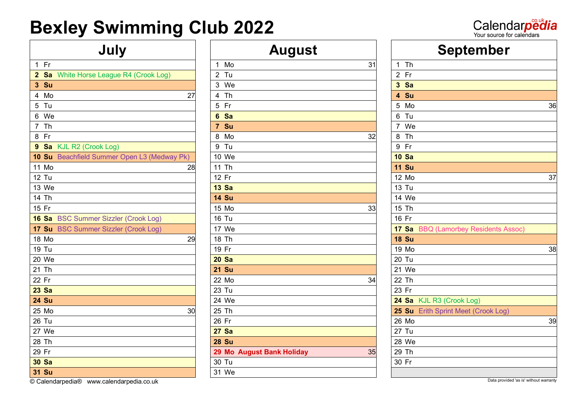# Calendarpedia

| 1                       | Fr           |                                             | 1              | Mo           |
|-------------------------|--------------|---------------------------------------------|----------------|--------------|
| $\overline{2}$          | Sa           | White Horse League R4 (Crook Log)           | $\overline{2}$ | Tu           |
| 3                       | Su           |                                             |                | 3 We         |
| $\overline{\mathbf{4}}$ | Mo           | 27                                          | 4              | <b>Th</b>    |
| 5                       | Tu           |                                             | 5              | Fr.          |
| 6                       | We           |                                             | 6              | Sa           |
| $\overline{7}$          | Th           |                                             | $\overline{7}$ | Su           |
| 8                       | Fr           |                                             | 8              | Mo           |
| $\boldsymbol{9}$        |              | Sa KJL R2 (Crook Log)                       | 9              | Tu           |
|                         |              | 10 Su Beachfield Summer Open L3 (Medway Pk) |                | 10 We        |
|                         | 11 Mo        | 28                                          |                | 11 Th        |
|                         | 12 Tu        |                                             |                | 12 Fr        |
|                         | 13 We        |                                             |                | <b>13 Sa</b> |
|                         | 14 Th        |                                             |                | <b>14 Su</b> |
|                         | 15 Fr        |                                             |                | 15 Mo        |
|                         | <b>16 Sa</b> | <b>BSC Summer Sizzler (Crook Log)</b>       |                | <b>16 Tu</b> |
|                         |              | 17 Su BSC Summer Sizzler (Crook Log)        |                | 17 We        |
|                         | 18 Mo        | 29                                          |                | 18 Th        |
|                         | 19 Tu        |                                             | 19 Fr          |              |
|                         | 20 We        |                                             |                | <b>20 Sa</b> |
|                         | 21 Th        |                                             |                | <b>21 Su</b> |
| 22 Fr                   |              |                                             |                | 22 Mo        |
|                         | <b>23 Sa</b> |                                             |                | 23 Tu        |
|                         | <b>24 Su</b> |                                             |                | 24 We        |
|                         | 25 Mo        | 30                                          |                | 25 Th        |
|                         | 26 Tu        |                                             |                | 26 Fr        |
|                         | 27 We        |                                             |                | $27$ Sa      |
|                         | 28 Th        |                                             |                | <b>28 Su</b> |
| 29 Fr                   |              |                                             |                | <b>29 Mo</b> |
|                         | <b>30 Sa</b> |                                             |                | 30 Tu        |
|                         | <b>31 Su</b> |                                             |                | 31 We        |
|                         |              |                                             |                |              |

| July                                        | <b>August</b>             |    | <b>September</b>                     |    |
|---------------------------------------------|---------------------------|----|--------------------------------------|----|
| $1$ Fr                                      | 1 Mo                      | 31 | $1$ Th                               |    |
| 2 Sa White Horse League R4 (Crook Log)      | $2$ Tu                    |    | 2 Fr                                 |    |
| 3 Su                                        | 3 We                      |    | 3 Sa                                 |    |
| 4 Mo<br>27                                  | 4 Th                      |    | 4 Su                                 |    |
| 5 Tu                                        | 5 Fr                      |    | 5 Mo                                 | 36 |
| 6 We                                        | 6 Sa                      |    | 6 Tu                                 |    |
| 7 Th                                        | 7 Su                      |    | 7 We                                 |    |
| $8$ Fr                                      | 8 Mo                      | 32 | 8 Th                                 |    |
| 9 Sa KJL R2 (Crook Log)                     | 9 Tu                      |    | 9 Fr                                 |    |
| 10 Su Beachfield Summer Open L3 (Medway Pk) | 10 We                     |    | <b>10 Sa</b>                         |    |
| 11 Mo<br>28                                 | 11 Th                     |    | <b>11 Su</b>                         |    |
| 12 Tu                                       | 12 Fr                     |    | 12 Mo                                | 37 |
| 13 We                                       | <b>13 Sa</b>              |    | 13 Tu                                |    |
| 14 Th                                       | <b>14 Su</b>              |    | 14 We                                |    |
| 15 Fr                                       | 15 Mo                     | 33 | 15 Th                                |    |
| 16 Sa BSC Summer Sizzler (Crook Log)        | 16 Tu                     |    | 16 Fr                                |    |
| 17 Su BSC Summer Sizzler (Crook Log)        | 17 We                     |    | 17 Sa BBQ (Lamorbey Residents Assoc) |    |
| 18 Mo<br>29                                 | 18 Th                     |    | <b>18 Su</b>                         |    |
| 19 Tu                                       | 19 Fr                     |    | 19 Mo                                | 38 |
| 20 We                                       | <b>20 Sa</b>              |    | 20 Tu                                |    |
| 21 Th                                       | <b>21 Su</b>              |    | 21 We                                |    |
| 22 Fr                                       | 22 Mo                     | 34 | 22 Th                                |    |
| 23 Sa                                       | 23 Tu                     |    | 23 Fr                                |    |
| 24 Su                                       | 24 We                     |    | 24 Sa KJL R3 (Crook Log)             |    |
| 25 Mo<br>30                                 | 25 Th                     |    | 25 Su Erith Sprint Meet (Crook Log)  |    |
| 26 Tu                                       | 26 Fr                     |    | 26 Mo                                | 39 |
| 27 We                                       | <b>27 Sa</b>              |    | 27 Tu                                |    |
| 28 Th                                       | <b>28 Su</b>              |    | 28 We                                |    |
| 29 Fr                                       | 29 Mo August Bank Holiday | 35 | 29 Th                                |    |
| 30 Sa                                       | 30 Tu                     |    | 30 Fr                                |    |
| 31 Su                                       | 31 We                     |    |                                      |    |

|                         |              | <b>September</b>                     |    |
|-------------------------|--------------|--------------------------------------|----|
| $\mathbf{1}$            | Th           |                                      |    |
| $\overline{2}$          | - Fr         |                                      |    |
|                         | 3 Sa         |                                      |    |
| $\overline{\mathbf{A}}$ | Su           |                                      |    |
| 5                       | Mo           |                                      | 36 |
| 6                       | Tu           |                                      |    |
|                         | 7 We         |                                      |    |
| 8                       | Th           |                                      |    |
| 9                       | Fr           |                                      |    |
|                         | <b>10 Sa</b> |                                      |    |
|                         | <b>11 Su</b> |                                      |    |
|                         | 12 Mo        |                                      | 37 |
|                         | 13 Tu        |                                      |    |
|                         | 14 We        |                                      |    |
|                         | 15 Th        |                                      |    |
| 16 Fr                   |              |                                      |    |
|                         |              | 17 Sa BBQ (Lamorbey Residents Assoc) |    |
|                         | <b>18 Su</b> |                                      |    |
|                         | 19 Mo        |                                      | 38 |
|                         | 20 Tu        |                                      |    |
|                         | 21 We        |                                      |    |
|                         | 22 Th        |                                      |    |
| 23 Fr                   |              |                                      |    |
|                         |              | 24 Sa KJL R3 (Crook Log)             |    |
|                         | <b>25 Su</b> | <b>Erith Sprint Meet (Crook Log)</b> |    |
|                         | 26 Mo        |                                      | 39 |
|                         | 27 Tu        |                                      |    |
|                         | 28 We        |                                      |    |
|                         | 29 Th        |                                      |    |
| 30 Fr                   |              |                                      |    |
|                         |              |                                      |    |

© Calendarpedia® www.calendarpedia.co.uk Data provided 'as is' without warranty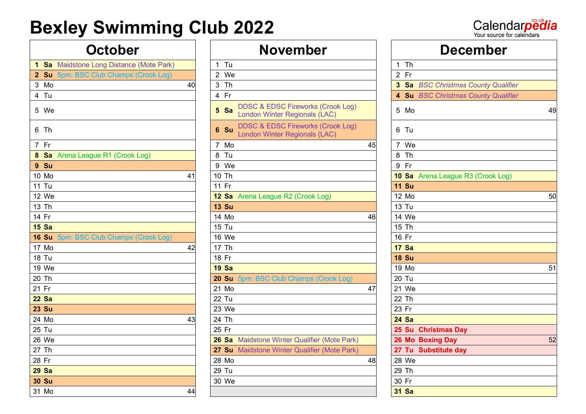Calendarpedia

|       |              | <b>1 Sa</b> Maidstone Long Distance (Mote Park) |    | 1               | Tu           |                                                                               |
|-------|--------------|-------------------------------------------------|----|-----------------|--------------|-------------------------------------------------------------------------------|
|       |              | 2 Su 5pm: BSC Club Champs (Crook Log)           |    |                 | 2 We         |                                                                               |
|       | 3 Mo         |                                                 | 40 | 3               | Th           |                                                                               |
|       | 4 Tu         |                                                 |    |                 | 4 Fr         |                                                                               |
|       | 5 We         |                                                 |    | $5\phantom{.0}$ | Sa           | <b>DDSC &amp; EDSC Fireworks (Crook Log)</b><br>London Winter Regionals (LAC) |
|       | 6 Th         |                                                 |    |                 | 6 Su         | <b>DDSC &amp; EDSC Fireworks (Crook Log)</b><br>London Winter Regionals (LAC) |
|       | 7 Fr         |                                                 |    | $7^{\circ}$     | Mo           |                                                                               |
|       |              | 8 Sa Arena League R1 (Crook Log)                |    | 8               | Tu           |                                                                               |
|       | 9 Su         |                                                 |    |                 | 9 We         |                                                                               |
|       | 10 Mo        |                                                 | 41 |                 | 10 Th        |                                                                               |
|       | <b>11 Tu</b> |                                                 |    | 11 Fr           |              |                                                                               |
|       | 12 We        |                                                 |    |                 |              | 12 Sa Arena League R2 (Crook Log)                                             |
|       | 13 Th        |                                                 |    |                 | <b>13 Su</b> |                                                                               |
|       | 14 Fr        |                                                 |    |                 | 14 Mo        |                                                                               |
|       | <b>15 Sa</b> |                                                 |    |                 | 15 Tu        |                                                                               |
|       |              | 16 Su 5pm: BSC Club Champs (Crook Log)          |    |                 | 16 We        |                                                                               |
|       | 17 Mo        |                                                 | 42 |                 | 17 Th        |                                                                               |
|       | <b>18 Tu</b> |                                                 |    | 18 Fr           |              |                                                                               |
|       | 19 We        |                                                 |    |                 | <b>19 Sa</b> |                                                                               |
|       | 20 Th        |                                                 |    |                 |              | 20 Su 5pm: BSC Club Champs (Crook Log)                                        |
| 21 Fr |              |                                                 |    |                 | 21 Mo        |                                                                               |
|       | <b>22 Sa</b> |                                                 |    |                 | 22 Tu        |                                                                               |
|       | <b>23 Su</b> |                                                 |    |                 | 23 We        |                                                                               |
|       | 24 Mo        |                                                 | 43 |                 | 24 Th        |                                                                               |
|       | 25 Tu        |                                                 |    | 25 Fr           |              |                                                                               |
|       | 26 We        |                                                 |    |                 |              | 26 Sa Maidstone Winter Qualifier (Mote Park                                   |
|       | 27 Th        |                                                 |    |                 |              | 27 Su Maidstone Winter Qualifier (Mote Park                                   |
| 28 Fr |              |                                                 |    |                 | 28 Mo        |                                                                               |
|       | <b>29 Sa</b> |                                                 |    |                 | 29 Tu        |                                                                               |
|       | <b>30 Su</b> |                                                 |    |                 | 30 We        |                                                                               |
|       | 31 Mo        |                                                 | 44 |                 |              |                                                                               |

| <b>October</b>                           |    | <b>November</b>                                                                       |    | <b>December</b>                     |
|------------------------------------------|----|---------------------------------------------------------------------------------------|----|-------------------------------------|
| 1 Sa Maidstone Long Distance (Mote Park) |    | $1$ Tu                                                                                |    | $1$ Th                              |
| 2 Su 5pm: BSC Club Champs (Crook Log)    |    | 2 We                                                                                  |    | 2 Fr                                |
| 3 Mo                                     | 40 | 3 Th                                                                                  |    | 3 Sa BSC Christmas County Qualifier |
| 4 Tu                                     |    | 4 Fr                                                                                  |    | 4 Su BSC Christmas County Qualifier |
| 5 We                                     |    | <b>DDSC &amp; EDSC Fireworks (Crook Log)</b><br>5 Sa<br>London Winter Regionals (LAC) |    | 5 Mo                                |
| 6 Th                                     |    | <b>DDSC &amp; EDSC Fireworks (Crook Log)</b><br>6 Su<br>London Winter Regionals (LAC) |    | 6 Tu                                |
| 7 Fr                                     |    | 7 Mo                                                                                  | 45 | 7 We                                |
| 8 Sa Arena League R1 (Crook Log)         |    | 8 Tu                                                                                  |    | 8 Th                                |
| 9 Su                                     |    | 9 We                                                                                  |    | 9 Fr                                |
| 10 Mo                                    | 41 | 10 Th                                                                                 |    | 10 Sa Arena League R3 (Crook Log)   |
| 11 Tu                                    |    | 11 Fr                                                                                 |    | <b>11 Su</b>                        |
| 12 We                                    |    | 12 Sa Arena League R2 (Crook Log)                                                     |    | 12 Mo                               |
| 13 Th                                    |    | <b>13 Su</b>                                                                          |    | 13 Tu                               |
| 14 Fr                                    |    | 14 Mo                                                                                 | 46 | 14 We                               |
| 15Sa                                     |    | 15 Tu                                                                                 |    | 15 Th                               |
| 16 Su 5pm: BSC Club Champs (Crook Log)   |    | 16 We                                                                                 |    | 16 Fr                               |
| 17 Mo                                    | 42 | 17 Th                                                                                 |    | <b>17 Sa</b>                        |
| 18 Tu                                    |    | 18 Fr                                                                                 |    | <b>18 Su</b>                        |
| 19 We                                    |    | <b>19 Sa</b>                                                                          |    | 19 Mo                               |
| 20 Th                                    |    | 20 Su 5pm: BSC Club Champs (Crook Log)                                                |    | 20 Tu                               |
| 21 Fr                                    |    | 21 Mo                                                                                 | 47 | 21 We                               |
| 22 Sa                                    |    | 22 Tu                                                                                 |    | 22 Th                               |
| 23 Su                                    |    | 23 We                                                                                 |    | 23 Fr                               |
| 24 Mo                                    | 43 | 24 Th                                                                                 |    | <b>24 Sa</b>                        |
| 25 Tu                                    |    | 25 Fr                                                                                 |    | 25 Su Christmas Day                 |
| 26 We                                    |    | 26 Sa Maidstone Winter Qualifier (Mote Park)                                          |    | 26 Mo Boxing Day                    |
| 27 Th                                    |    | 27 Su Maidstone Winter Qualifier (Mote Park)                                          |    | 27 Tu Substitute day                |
| 28 Fr                                    |    | 28 Mo                                                                                 | 48 | 28 We                               |
| 29 Sa                                    |    | 29 Tu                                                                                 |    | 29 Th                               |
| <b>30 Su</b>                             |    | 30 We                                                                                 |    | 30 Fr                               |
| 31 Mo                                    | 44 |                                                                                       |    | 31 Sa                               |

| <b>October</b>                           | <b>November</b>                                                                       | <b>December</b>                     |
|------------------------------------------|---------------------------------------------------------------------------------------|-------------------------------------|
| 1 Sa Maidstone Long Distance (Mote Park) | $1$ Tu                                                                                | $1$ Th                              |
| 2 Su 5pm: BSC Club Champs (Crook Log)    | 2 We                                                                                  | 2 Fr                                |
| 3 Mo<br>40                               | 3 Th                                                                                  | 3 Sa BSC Christmas County Qualifier |
| 4 Tu                                     | 4 Fr                                                                                  | 4 Su BSC Christmas County Qualifier |
| 5 We                                     | <b>DDSC &amp; EDSC Fireworks (Crook Log)</b><br>5 Sa<br>London Winter Regionals (LAC) | 5 Mo<br>49                          |
| 6 Th                                     | <b>DDSC &amp; EDSC Fireworks (Crook Log)</b><br>6 Su<br>London Winter Regionals (LAC) | 6 Tu                                |
| 7 Fr                                     | 7 Mo<br>45                                                                            | 7 We                                |
| 8 Sa Arena League R1 (Crook Log)         | 8 Tu                                                                                  | 8 Th                                |
| 9Su                                      | 9 We                                                                                  | 9 Fr                                |
| 10 Mo<br>41                              | 10 Th                                                                                 | 10 Sa Arena League R3 (Crook Log)   |
| 11 Tu                                    | 11 Fr                                                                                 | <b>11 Su</b>                        |
| 12 We                                    | 12 Sa Arena League R2 (Crook Log)                                                     | 12 Mo<br>50                         |
| 13 Th                                    | <b>13 Su</b>                                                                          | 13 Tu                               |
| 14 Fr                                    | 14 Mo<br>46                                                                           | 14 We                               |
| 15Sa                                     | 15 Tu                                                                                 | 15 Th                               |
| 16 Su 5pm: BSC Club Champs (Crook Log)   | 16 We                                                                                 | 16 Fr                               |
| 17 Mo<br>42                              | 17 Th                                                                                 | <b>17 Sa</b>                        |
| <b>18 Tu</b>                             | 18 Fr                                                                                 | <b>18 Su</b>                        |
| 19 We                                    | <b>19 Sa</b>                                                                          | 19 Mo<br>51                         |
| 20 Th                                    | 20 Su 5pm: BSC Club Champs (Crook Log)                                                | 20 Tu                               |
| 21 Fr                                    | 21 Mo<br>47                                                                           | 21 We                               |
| 22 Sa                                    | 22 Tu                                                                                 | 22 Th                               |
| 23 Su                                    | 23 We                                                                                 | 23 Fr                               |
| 24 Mo<br>43                              | 24 Th                                                                                 | <b>24 Sa</b>                        |
| 25 Tu                                    | 25 Fr                                                                                 | 25 Su Christmas Day                 |
| 26 We                                    | 26 Sa Maidstone Winter Qualifier (Mote Park)                                          | 26 Mo Boxing Day<br>52              |
| 27 Th                                    | 27 Su Maidstone Winter Qualifier (Mote Park)                                          | 27 Tu Substitute day                |
| 28 Fr                                    | 28 Mo<br>48                                                                           | 28 We                               |
| 29 Sa                                    | 29 Tu                                                                                 | 29 Th                               |
| 30 Su                                    | 30 We                                                                                 | 30 Fr                               |
| 31 Mo<br>44                              |                                                                                       | <b>31 Sa</b>                        |